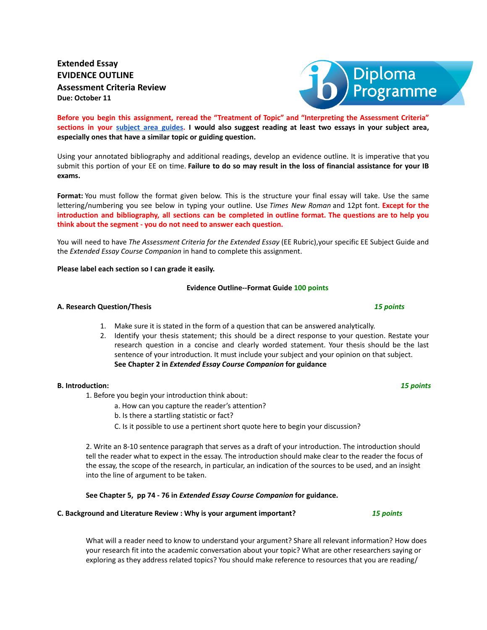# **Extended Essay EVIDENCE OUTLINE Assessment Criteria Review Due: October 11**

**Before you begin this assignment, reread the "Treatment of Topic" and "Interpreting the Assessment Criteria"** sections in your [subject](https://www.stonypointib.com/the-extended-essay-) area guides. I would also suggest reading at least two essays in your subject area, **especially ones that have a similar topic or guiding question.**

Using your annotated bibliography and additional readings, develop an evidence outline. It is imperative that you submit this portion of your EE on time. **Failure to do so may result in the loss of financial assistance for your IB exams.**

**Format:** You must follow the format given below. This is the structure your final essay will take. Use the same lettering/numbering you see below in typing your outline. Use *Times New Roman* and 12pt font. **Except for the** introduction and bibliography, all sections can be completed in outline format. The questions are to help you **think about the segment - you do not need to answer each question.**

You will need to have *The Assessment Criteria for the Extended Essay* (EE Rubric),your specific EE Subject Guide and the *Extended Essay Course Companion* in hand to complete this assignment.

# **Please label each section so I can grade it easily.**

# **Evidence Outline--Format Guide 100 points**

# **A. Research Question/Thesis** *15 points*

- 1. Make sure it is stated in the form of a question that can be answered analytically.
- 2. Identify your thesis statement; this should be a direct response to your question. Restate your research question in a concise and clearly worded statement. Your thesis should be the last sentence of your introduction. It must include your subject and your opinion on that subject. **See Chapter 2 in** *Extended Essay Course Companion* **for guidance**

# **B. Introduction:** *15 points*

1. Before you begin your introduction think about:

- a. How can you capture the reader's attention?
- b. Is there a startling statistic or fact?
- C. Is it possible to use a pertinent short quote here to begin your discussion?

2. Write an 8-10 sentence paragraph that serves as a draft of your introduction. The introduction should tell the reader what to expect in the essay. The introduction should make clear to the reader the focus of the essay, the scope of the research, in particular, an indication of the sources to be used, and an insight into the line of argument to be taken.

**See Chapter 5, pp 74 - 76 in** *Extended Essay Course Companion* **for guidance.**

### **C. Background and Literature Review : Why is your argument important?** *15 points*

What will a reader need to know to understand your argument? Share all relevant information? How does your research fit into the academic conversation about your topic? What are other researchers saying or exploring as they address related topics? You should make reference to resources that you are reading/

Diploma<br>Programme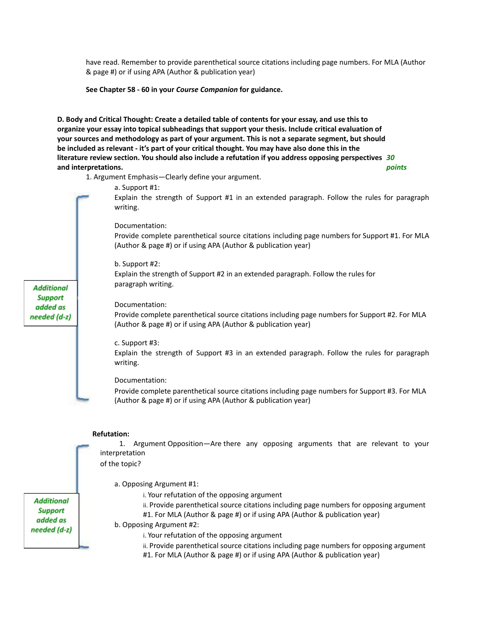have read. Remember to provide parenthetical source citations including page numbers. For MLA (Author & page #) or if using APA (Author & publication year)

**See Chapter 58 - 60 in your** *Course Companion* **for guidance.**

**D. Body and Critical Thought: Create a detailed table of contents for your essay, and use this to organize your essay into topical subheadings that support your thesis. Include critical evaluation of your sources and methodology as part of your argument. This is not a separate segment, but should** be included as relevant - it's part of your critical thought. You may have also done this in the **literature review section. You should also include a refutation if you address opposing perspectives** *30* **and interpretations.** *points*

1. Argument Emphasis—Clearly define your argument.

Explain the strength of Support #1 in an extended paragraph. Follow the rules for paragraph writing. Documentation: Provide complete parenthetical source citations including page numbers for Support #1. For MLA (Author & page #) or if using APA (Author & publication year)

a. Support #1:

b. Support #2:

Explain the strength of Support #2 in an extended paragraph. Follow the rules for paragraph writing.

Documentation:

Provide complete parenthetical source citations including page numbers for Support #2. For MLA (Author & page #) or if using APA (Author & publication year)

c. Support #3:

Explain the strength of Support #3 in an extended paragraph. Follow the rules for paragraph writing.

Documentation:

Provide complete parenthetical source citations including page numbers for Support #3. For MLA (Author & page #) or if using APA (Author & publication year)

### **Refutation:**

1. Argument Opposition—Are there any opposing arguments that are relevant to your interpretation

of the topic?

a. Opposing Argument #1:

i. Your refutation of the opposing argument

ii. Provide parenthetical source citations including page numbers for opposing argument #1. For MLA (Author & page #) or if using APA (Author & publication year)

b. Opposing Argument #2:

i. Your refutation of the opposing argument

ii. Provide parenthetical source citations including page numbers for opposing argument #1. For MLA (Author & page #) or if using APA (Author & publication year)

**Support** added as needed (d-z)

**Additional** 

**Additional Support** added as needed (d-z)